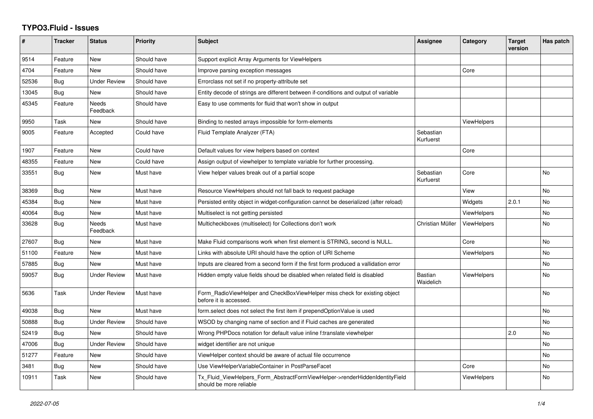## **TYPO3.Fluid - Issues**

| #     | <b>Tracker</b> | <b>Status</b>       | <b>Priority</b> | <b>Subject</b>                                                                                         | Assignee                    | Category           | <b>Target</b><br>version | Has patch |
|-------|----------------|---------------------|-----------------|--------------------------------------------------------------------------------------------------------|-----------------------------|--------------------|--------------------------|-----------|
| 9514  | Feature        | <b>New</b>          | Should have     | Support explicit Array Arguments for ViewHelpers                                                       |                             |                    |                          |           |
| 4704  | Feature        | New                 | Should have     | Improve parsing exception messages                                                                     |                             | Core               |                          |           |
| 52536 | <b>Bug</b>     | <b>Under Review</b> | Should have     | Errorclass not set if no property-attribute set                                                        |                             |                    |                          |           |
| 13045 | <b>Bug</b>     | <b>New</b>          | Should have     | Entity decode of strings are different between if-conditions and output of variable                    |                             |                    |                          |           |
| 45345 | Feature        | Needs<br>Feedback   | Should have     | Easy to use comments for fluid that won't show in output                                               |                             |                    |                          |           |
| 9950  | Task           | New                 | Should have     | Binding to nested arrays impossible for form-elements                                                  |                             | <b>ViewHelpers</b> |                          |           |
| 9005  | Feature        | Accepted            | Could have      | Fluid Template Analyzer (FTA)                                                                          | Sebastian<br>Kurfuerst      |                    |                          |           |
| 1907  | Feature        | New                 | Could have      | Default values for view helpers based on context                                                       |                             | Core               |                          |           |
| 48355 | Feature        | <b>New</b>          | Could have      | Assign output of viewhelper to template variable for further processing.                               |                             |                    |                          |           |
| 33551 | <b>Bug</b>     | New                 | Must have       | View helper values break out of a partial scope                                                        | Sebastian<br>Kurfuerst      | Core               |                          | <b>No</b> |
| 38369 | Bug            | <b>New</b>          | Must have       | Resource ViewHelpers should not fall back to request package                                           |                             | View               |                          | <b>No</b> |
| 45384 | Bug            | New                 | Must have       | Persisted entity object in widget-configuration cannot be deserialized (after reload)                  |                             | Widgets            | 2.0.1                    | <b>No</b> |
| 40064 | <b>Bug</b>     | New                 | Must have       | Multiselect is not getting persisted                                                                   |                             | <b>ViewHelpers</b> |                          | No        |
| 33628 | <b>Bug</b>     | Needs<br>Feedback   | Must have       | Multicheckboxes (multiselect) for Collections don't work                                               | Christian Müller            | <b>ViewHelpers</b> |                          | <b>No</b> |
| 27607 | Bug            | New                 | Must have       | Make Fluid comparisons work when first element is STRING, second is NULL.                              |                             | Core               |                          | <b>No</b> |
| 51100 | Feature        | New                 | Must have       | Links with absolute URI should have the option of URI Scheme                                           |                             | ViewHelpers        |                          | No        |
| 57885 | Bug            | New                 | Must have       | Inputs are cleared from a second form if the first form produced a vallidation error                   |                             |                    |                          | No        |
| 59057 | <b>Bug</b>     | <b>Under Review</b> | Must have       | Hidden empty value fields shoud be disabled when related field is disabled                             | <b>Bastian</b><br>Waidelich | <b>ViewHelpers</b> |                          | <b>No</b> |
| 5636  | Task           | <b>Under Review</b> | Must have       | Form_RadioViewHelper and CheckBoxViewHelper miss check for existing object<br>before it is accessed.   |                             |                    |                          | <b>No</b> |
| 49038 | Bug            | <b>New</b>          | Must have       | form select does not select the first item if prependOptionValue is used                               |                             |                    |                          | <b>No</b> |
| 50888 | Bug            | Under Review        | Should have     | WSOD by changing name of section and if Fluid caches are generated                                     |                             |                    |                          | <b>No</b> |
| 52419 | Bug            | New                 | Should have     | Wrong PHPDocs notation for default value inline f:translate viewhelper                                 |                             |                    | 2.0                      | No        |
| 47006 | <b>Bug</b>     | <b>Under Review</b> | Should have     | widget identifier are not unique                                                                       |                             |                    |                          | <b>No</b> |
| 51277 | Feature        | New                 | Should have     | ViewHelper context should be aware of actual file occurrence                                           |                             |                    |                          | <b>No</b> |
| 3481  | Bug            | New                 | Should have     | Use ViewHelperVariableContainer in PostParseFacet                                                      |                             | Core               |                          | No        |
| 10911 | Task           | New                 | Should have     | Tx_Fluid_ViewHelpers_Form_AbstractFormViewHelper->renderHiddenIdentityField<br>should be more reliable |                             | <b>ViewHelpers</b> |                          | <b>No</b> |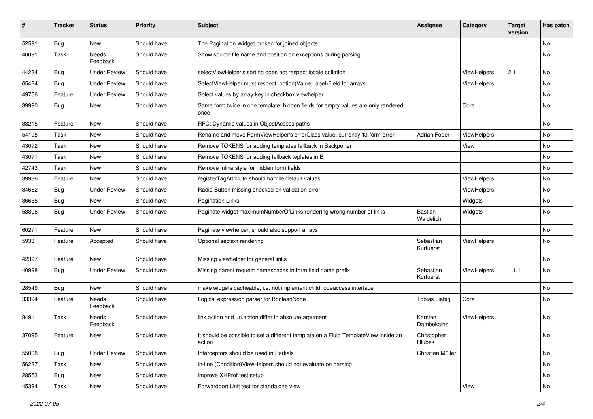| ∦     | <b>Tracker</b> | <b>Status</b>            | Priority    | Subject                                                                                       | <b>Assignee</b>        | Category           | <b>Target</b><br>version | Has patch |
|-------|----------------|--------------------------|-------------|-----------------------------------------------------------------------------------------------|------------------------|--------------------|--------------------------|-----------|
| 52591 | Bug            | New                      | Should have | The Pagination Widget broken for joined objects                                               |                        |                    |                          | <b>No</b> |
| 46091 | Task           | <b>Needs</b><br>Feedback | Should have | Show source file name and position on exceptions during parsing                               |                        |                    |                          | No        |
| 44234 | Bug            | <b>Under Review</b>      | Should have | selectViewHelper's sorting does not respect locale collation                                  |                        | ViewHelpers        | 2.1                      | <b>No</b> |
| 65424 | <b>Bug</b>     | <b>Under Review</b>      | Should have | SelectViewHelper must respect option(Value Label)Field for arrays                             |                        | ViewHelpers        |                          | No        |
| 49756 | Feature        | <b>Under Review</b>      | Should have | Select values by array key in checkbox viewhelper                                             |                        |                    |                          | <b>No</b> |
| 39990 | <b>Bug</b>     | New                      | Should have | Same form twice in one template: hidden fields for empty values are only rendered<br>once     |                        | Core               |                          | No        |
| 33215 | Feature        | New                      | Should have | RFC: Dynamic values in ObjectAccess paths                                                     |                        |                    |                          | No        |
| 54195 | Task           | New                      | Should have | Rename and move FormViewHelper's errorClass value, currently 'f3-form-error'                  | Adrian Föder           | <b>ViewHelpers</b> |                          | No        |
| 43072 | Task           | New                      | Should have | Remove TOKENS for adding templates fallback in Backporter                                     |                        | View               |                          | No        |
| 43071 | Task           | New                      | Should have | Remove TOKENS for adding fallback teplates in B                                               |                        |                    |                          | No        |
| 42743 | Task           | New                      | Should have | Remove inline style for hidden form fields                                                    |                        |                    |                          | No        |
| 39936 | Feature        | <b>New</b>               | Should have | registerTagAttribute should handle default values                                             |                        | ViewHelpers        |                          | <b>No</b> |
| 34682 | Bug            | Under Review             | Should have | Radio Button missing checked on validation error                                              |                        | ViewHelpers        |                          | No        |
| 36655 | Bug            | New                      | Should have | <b>Pagination Links</b>                                                                       |                        | Widgets            |                          | No        |
| 53806 | Bug            | <b>Under Review</b>      | Should have | Paginate widget maximumNumberOfLinks rendering wrong number of links                          | Bastian<br>Waidelich   | Widgets            |                          | <b>No</b> |
| 60271 | Feature        | New                      | Should have | Paginate viewhelper, should also support arrays                                               |                        |                    |                          | No        |
| 5933  | Feature        | Accepted                 | Should have | Optional section rendering                                                                    | Sebastian<br>Kurfuerst | <b>ViewHelpers</b> |                          | No        |
| 42397 | Feature        | <b>New</b>               | Should have | Missing viewhelper for general links                                                          |                        |                    |                          | <b>No</b> |
| 40998 | <b>Bug</b>     | <b>Under Review</b>      | Should have | Missing parent request namespaces in form field name prefix                                   | Sebastian<br>Kurfuerst | ViewHelpers        | 1.1.1                    | No        |
| 28549 | Bug            | New                      | Should have | make widgets cacheable, i.e. not implement childnodeaccess interface                          |                        |                    |                          | No        |
| 33394 | Feature        | Needs<br>Feedback        | Should have | Logical expression parser for BooleanNode                                                     | <b>Tobias Liebig</b>   | Core               |                          | No        |
| 8491  | Task           | <b>Needs</b><br>Feedback | Should have | link.action and uri.action differ in absolute argument                                        | Karsten<br>Dambekalns  | ViewHelpers        |                          | <b>No</b> |
| 37095 | Feature        | New                      | Should have | It should be possible to set a different template on a Fluid TemplateView inside an<br>action | Christopher<br>Hlubek  |                    |                          | No        |
| 55008 | <b>Bug</b>     | <b>Under Review</b>      | Should have | Interceptors should be used in Partials                                                       | Christian Müller       |                    |                          | No        |
| 56237 | Task           | New                      | Should have | in-line (Condition) View Helpers should not evaluate on parsing                               |                        |                    |                          | No        |
| 28553 | Bug            | New                      | Should have | improve XHProf test setup                                                                     |                        |                    |                          | No        |
| 45394 | Task           | New                      | Should have | Forwardport Unit test for standalone view                                                     |                        | View               |                          | No        |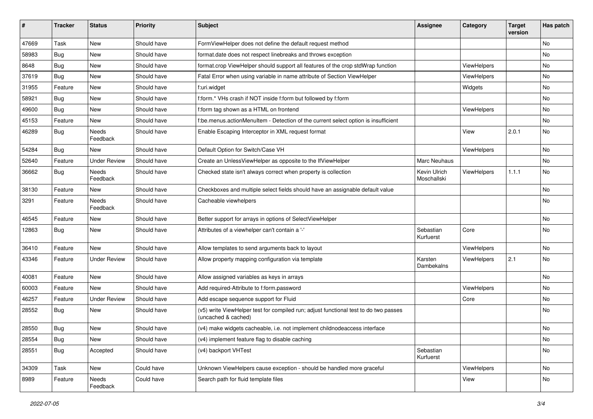| ∦     | <b>Tracker</b> | <b>Status</b>       | Priority    | <b>Subject</b>                                                                                              | <b>Assignee</b>             | Category           | <b>Target</b><br>version | Has patch |
|-------|----------------|---------------------|-------------|-------------------------------------------------------------------------------------------------------------|-----------------------------|--------------------|--------------------------|-----------|
| 47669 | Task           | New                 | Should have | FormViewHelper does not define the default request method                                                   |                             |                    |                          | <b>No</b> |
| 58983 | Bug            | New                 | Should have | format.date does not respect linebreaks and throws exception                                                |                             |                    |                          | No        |
| 8648  | Bug            | New                 | Should have | format.crop ViewHelper should support all features of the crop stdWrap function                             |                             | ViewHelpers        |                          | No        |
| 37619 | Bug            | New                 | Should have | Fatal Error when using variable in name attribute of Section ViewHelper                                     |                             | ViewHelpers        |                          | No        |
| 31955 | Feature        | New                 | Should have | f:uri.widget                                                                                                |                             | Widgets            |                          | No        |
| 58921 | Bug            | New                 | Should have | f:form.* VHs crash if NOT inside f:form but followed by f:form                                              |                             |                    |                          | No        |
| 49600 | Bug            | New                 | Should have | f:form tag shown as a HTML on frontend                                                                      |                             | ViewHelpers        |                          | No        |
| 45153 | Feature        | New                 | Should have | f:be.menus.actionMenuItem - Detection of the current select option is insufficient                          |                             |                    |                          | No        |
| 46289 | Bug            | Needs<br>Feedback   | Should have | Enable Escaping Interceptor in XML request format                                                           |                             | View               | 2.0.1                    | <b>No</b> |
| 54284 | Bug            | <b>New</b>          | Should have | Default Option for Switch/Case VH                                                                           |                             | ViewHelpers        |                          | <b>No</b> |
| 52640 | Feature        | <b>Under Review</b> | Should have | Create an UnlessViewHelper as opposite to the IfViewHelper                                                  | Marc Neuhaus                |                    |                          | No        |
| 36662 | Bug            | Needs<br>Feedback   | Should have | Checked state isn't always correct when property is collection                                              | Kevin Ulrich<br>Moschallski | ViewHelpers        | 1.1.1                    | No        |
| 38130 | Feature        | New                 | Should have | Checkboxes and multiple select fields should have an assignable default value                               |                             |                    |                          | No        |
| 3291  | Feature        | Needs<br>Feedback   | Should have | Cacheable viewhelpers                                                                                       |                             |                    |                          | <b>No</b> |
| 46545 | Feature        | New                 | Should have | Better support for arrays in options of SelectViewHelper                                                    |                             |                    |                          | No        |
| 12863 | Bug            | New                 | Should have | Attributes of a viewhelper can't contain a '-'                                                              | Sebastian<br>Kurfuerst      | Core               |                          | No        |
| 36410 | Feature        | <b>New</b>          | Should have | Allow templates to send arguments back to layout                                                            |                             | ViewHelpers        |                          | No        |
| 43346 | Feature        | <b>Under Review</b> | Should have | Allow property mapping configuration via template                                                           | Karsten<br>Dambekalns       | <b>ViewHelpers</b> | 2.1                      | <b>No</b> |
| 40081 | Feature        | <b>New</b>          | Should have | Allow assigned variables as keys in arrays                                                                  |                             |                    |                          | <b>No</b> |
| 60003 | Feature        | <b>New</b>          | Should have | Add required-Attribute to f:form.password                                                                   |                             | ViewHelpers        |                          | <b>No</b> |
| 46257 | Feature        | <b>Under Review</b> | Should have | Add escape sequence support for Fluid                                                                       |                             | Core               |                          | No        |
| 28552 | Bug            | New                 | Should have | (v5) write ViewHelper test for compiled run; adjust functional test to do two passes<br>(uncached & cached) |                             |                    |                          | <b>No</b> |
| 28550 | Bug            | New                 | Should have | (v4) make widgets cacheable, i.e. not implement childnodeaccess interface                                   |                             |                    |                          | <b>No</b> |
| 28554 | <b>Bug</b>     | New                 | Should have | (v4) implement feature flag to disable caching                                                              |                             |                    |                          | No        |
| 28551 | Bug            | Accepted            | Should have | (v4) backport VHTest                                                                                        | Sebastian<br>Kurfuerst      |                    |                          | No        |
| 34309 | Task           | New                 | Could have  | Unknown ViewHelpers cause exception - should be handled more graceful                                       |                             | ViewHelpers        |                          | No        |
| 8989  | Feature        | Needs<br>Feedback   | Could have  | Search path for fluid template files                                                                        |                             | View               |                          | No        |